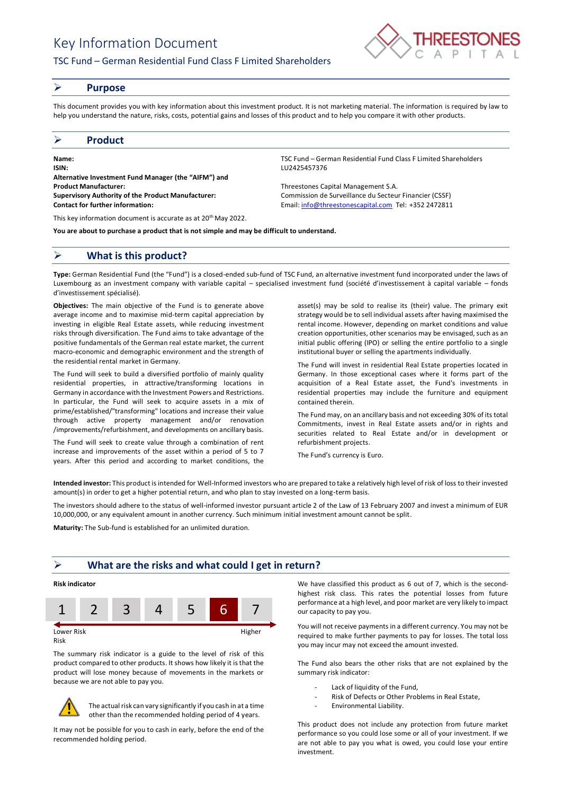# Key Information Document

## TSC Fund – German Residential Fund Class F Limited Shareholders



### ➢ **Purpose**

This document provides you with key information about this investment product. It is not marketing material. The information is required by law to help you understand the nature, risks, costs, potential gains and losses of this product and to help you compare it with other products.

### ➢ **Product**

**Name:** TSC Fund – German Residential Fund Class F Limited Shareholders **ISIN:** LU2425457376 **Alternative Investment Fund Manager (the "AIFM") and Product Manufacturer:** Threestones Capital Management S.A. **Supervisory Authority of the Product Manufacturer:** Commission de Surveillance du Secteur Financier (CSSF) **Contact for further information:** Email[: info@threestonescapital.com](mailto:info@threestonescapital.com) Tel: +352 2472811

This key information document is accurate as at 20th May 2022.

**You are about to purchase a product that is not simple and may be difficult to understand.**

# ➢ **What is this product?**

**Type:** German Residential Fund (the "Fund") is a closed-ended sub-fund of TSC Fund, an alternative investment fund incorporated under the laws of Luxembourg as an investment company with variable capital – specialised investment fund (société d'investissement à capital variable – fonds d'investissement spécialisé).

**Objectives:** The main objective of the Fund is to generate above average income and to maximise mid-term capital appreciation by investing in eligible Real Estate assets, while reducing investment risks through diversification. The Fund aims to take advantage of the positive fundamentals of the German real estate market, the current macro-economic and demographic environment and the strength of the residential rental market in Germany.

The Fund will seek to build a diversified portfolio of mainly quality residential properties, in attractive/transforming locations in Germany in accordance with the Investment Powers and Restrictions. In particular, the Fund will seek to acquire assets in a mix of prime/established/"transforming" locations and increase their value through active property management and/or renovation /improvements/refurbishment, and developments on ancillary basis.

The Fund will seek to create value through a combination of rent increase and improvements of the asset within a period of 5 to 7 years. After this period and according to market conditions, the

asset(s) may be sold to realise its (their) value. The primary exit strategy would be to sell individual assets after having maximised the rental income. However, depending on market conditions and value creation opportunities, other scenarios may be envisaged, such as an initial public offering (IPO) or selling the entire portfolio to a single institutional buyer or selling the apartments individually.

The Fund will invest in residential Real Estate properties located in Germany. In those exceptional cases where it forms part of the acquisition of a Real Estate asset, the Fund's investments in residential properties may include the furniture and equipment contained therein.

The Fund may, on an ancillary basis and not exceeding 30% of its total Commitments, invest in Real Estate assets and/or in rights and securities related to Real Estate and/or in development or refurbishment projects.

The Fund's currency is Euro.

**Intended investor:** This product is intended for Well-Informed investors who are prepared to take a relatively high level of risk of loss to their invested amount(s) in order to get a higher potential return, and who plan to stay invested on a long-term basis.

The investors should adhere to the status of well-informed investor pursuant article 2 of the Law of 13 February 2007 and invest a minimum of EUR 10,000,000, or any equivalent amount in another currency. Such minimum initial investment amount cannot be split.

**Maturity:** The Sub-fund is established for an unlimited duration.

## ➢ **What are the risks and what could I get in return?**

### **Risk indicator**



Risk

The summary risk indicator is a guide to the level of risk of this product compared to other products. It shows how likely it is that the product will lose money because of movements in the markets or because we are not able to pay you.



The actual risk can vary significantly if you cash in at a time other than the recommended holding period of 4 years.

It may not be possible for you to cash in early, before the end of the recommended holding period.

We have classified this product as 6 out of 7, which is the secondhighest risk class. This rates the potential losses from future performance at a high level, and poor market are very likely to impact our capacity to pay you.

You will not receive payments in a different currency. You may not be required to make further payments to pay for losses. The total loss you may incur may not exceed the amount invested.

The Fund also bears the other risks that are not explained by the summary risk indicator:

- Lack of liquidity of the Fund,
- Risk of Defects or Other Problems in Real Estate,
- Environmental Liability.

This product does not include any protection from future market performance so you could lose some or all of your investment. If we are not able to pay you what is owed, you could lose your entire investment.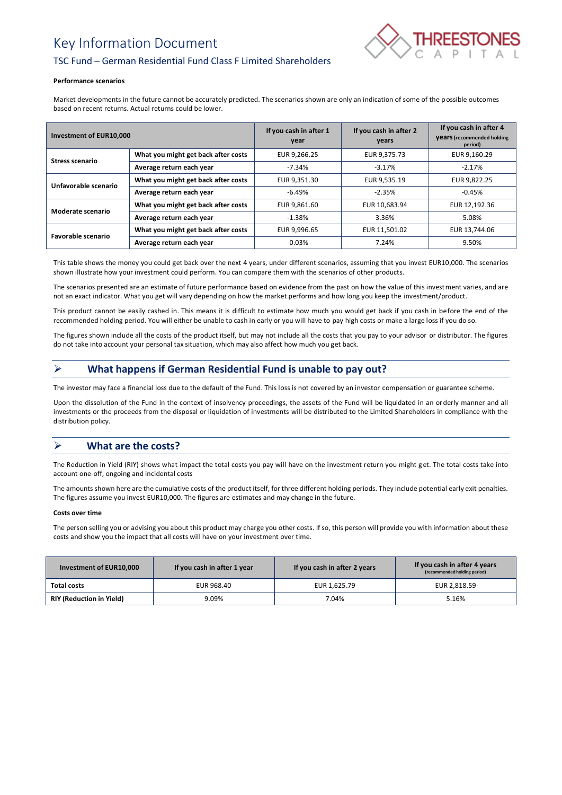# Key Information Document



## TSC Fund – German Residential Fund Class F Limited Shareholders

#### **Performance scenarios**

Market developments in the future cannot be accurately predicted. The scenarios shown are only an indication of some of the possible outcomes based on recent returns. Actual returns could be lower.

| Investment of EUR10,000 |                                     | If you cash in after 1<br>year | If you cash in after 2<br>years | If you cash in after 4<br><b>Vears</b> (recommended holding<br>period) |
|-------------------------|-------------------------------------|--------------------------------|---------------------------------|------------------------------------------------------------------------|
| <b>Stress scenario</b>  | What you might get back after costs | EUR 9,266.25                   | EUR 9,375.73                    | EUR 9,160.29                                                           |
|                         | Average return each year            | $-7.34%$                       | $-3.17%$                        | $-2.17%$                                                               |
| Unfavorable scenario    | What you might get back after costs | EUR 9,351.30                   | EUR 9,535.19                    | EUR 9,822.25                                                           |
|                         | Average return each year            | $-6.49%$                       | $-2.35%$                        | $-0.45%$                                                               |
| Moderate scenario       | What you might get back after costs | EUR 9.861.60                   | EUR 10,683.94                   | EUR 12,192.36                                                          |
|                         | Average return each year            | $-1.38\%$                      | 3.36%                           | 5.08%                                                                  |
| Favorable scenario      | What you might get back after costs | EUR 9,996.65                   | EUR 11,501.02                   | EUR 13,744.06                                                          |
|                         | Average return each year            | $-0.03%$                       | 7.24%                           | 9.50%                                                                  |

This table shows the money you could get back over the next 4 years, under different scenarios, assuming that you invest EUR10,000. The scenarios shown illustrate how your investment could perform. You can compare them with the scenarios of other products.

The scenarios presented are an estimate of future performance based on evidence from the past on how the value of this investment varies, and are not an exact indicator. What you get will vary depending on how the market performs and how long you keep the investment/product.

This product cannot be easily cashed in. This means it is difficult to estimate how much you would get back if you cash in before the end of the recommended holding period. You will either be unable to cash in early or you will have to pay high costs or make a large loss if you do so.

The figures shown include all the costs of the product itself, but may not include all the costs that you pay to your advisor or distributor. The figures do not take into account your personal tax situation, which may also affect how much you get back.

# ➢ **What happens if German Residential Fund is unable to pay out?**

The investor may face a financial loss due to the default of the Fund. This loss is not covered by an investor compensation or guarantee scheme.

Upon the dissolution of the Fund in the context of insolvency proceedings, the assets of the Fund will be liquidated in an orderly manner and all investments or the proceeds from the disposal or liquidation of investments will be distributed to the Limited Shareholders in compliance with the distribution policy.

# ➢ **What are the costs?**

The Reduction in Yield (RIY) shows what impact the total costs you pay will have on the investment return you might get. The total costs take into account one-off, ongoing and incidental costs

The amounts shown here are the cumulative costs of the product itself, for three different holding periods. They include potential early exit penalties. The figures assume you invest EUR10,000. The figures are estimates and may change in the future.

### **Costs over time**

The person selling you or advising you about this product may charge you other costs. If so, this person will provide you with information about these costs and show you the impact that all costs will have on your investment over time.

| Investment of EUR10,000         | If you cash in after 1 year | If you cash in after 2 years | If you cash in after 4 years<br>(recommended holding period) |
|---------------------------------|-----------------------------|------------------------------|--------------------------------------------------------------|
| Total costs                     | EUR 968.40                  | EUR 1,625.79                 | EUR 2.818.59                                                 |
| <b>RIY (Reduction in Yield)</b> | 9.09%                       | 7.04%                        | 5.16%                                                        |